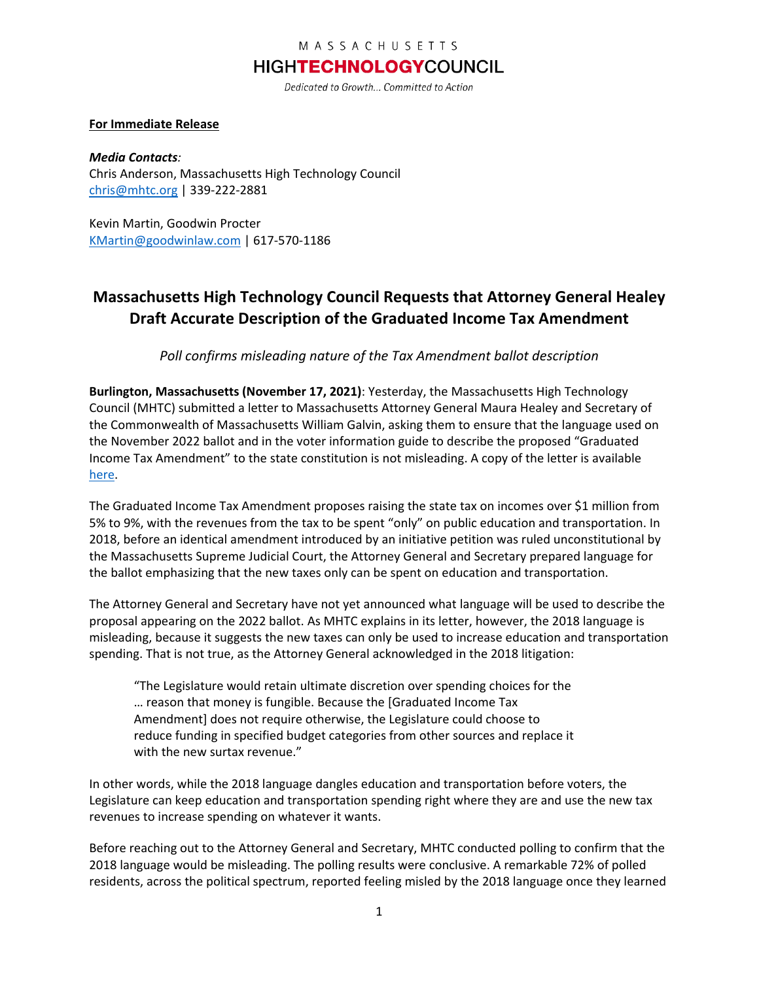#### MASSACHUSETTS

## **HIGHTECHNOLOGYCOUNCIL**

Dedicated to Growth... Committed to Action

#### **For Immediate Release**

*Media Contacts:*  Chris Anderson, Massachusetts High Technology Council [chris@mhtc.org](mailto:chris@mhtc.org) | 339-222-2881

Kevin Martin, Goodwin Procter [KMartin@goodwinlaw.com](mailto:KMartin@goodwinlaw.com) | 617-570-1186

# **Massachusetts High Technology Council Requests that Attorney General Healey Draft Accurate Description of the Graduated Income Tax Amendment**

*Poll confirms misleading nature of the Tax Amendment ballot description* 

**Burlington, Massachusetts (November 17, 2021)**: Yesterday, the Massachusetts High Technology Council (MHTC) submitted a letter to Massachusetts Attorney General Maura Healey and Secretary of the Commonwealth of Massachusetts William Galvin, asking them to ensure that the language used on the November 2022 ballot and in the voter information guide to describe the proposed "Graduated Income Tax Amendment" to the state constitution is not misleading. A copy of the letter is available [here.](http://www.mhtc.org/wp-content/uploads/2021/11/MHTC-letter-to-AG_11-16-21.pdf)

The Graduated Income Tax Amendment proposes raising the state tax on incomes over \$1 million from 5% to 9%, with the revenues from the tax to be spent "only" on public education and transportation. In 2018, before an identical amendment introduced by an initiative petition was ruled unconstitutional by the Massachusetts Supreme Judicial Court, the Attorney General and Secretary prepared language for the ballot emphasizing that the new taxes only can be spent on education and transportation.

The Attorney General and Secretary have not yet announced what language will be used to describe the proposal appearing on the 2022 ballot. As MHTC explains in its letter, however, the 2018 language is misleading, because it suggests the new taxes can only be used to increase education and transportation spending. That is not true, as the Attorney General acknowledged in the 2018 litigation:

"The Legislature would retain ultimate discretion over spending choices for the … reason that money is fungible. Because the [Graduated Income Tax Amendment] does not require otherwise, the Legislature could choose to reduce funding in specified budget categories from other sources and replace it with the new surtax revenue."

In other words, while the 2018 language dangles education and transportation before voters, the Legislature can keep education and transportation spending right where they are and use the new tax revenues to increase spending on whatever it wants.

Before reaching out to the Attorney General and Secretary, MHTC conducted polling to confirm that the 2018 language would be misleading. The polling results were conclusive. A remarkable 72% of polled residents, across the political spectrum, reported feeling misled by the 2018 language once they learned